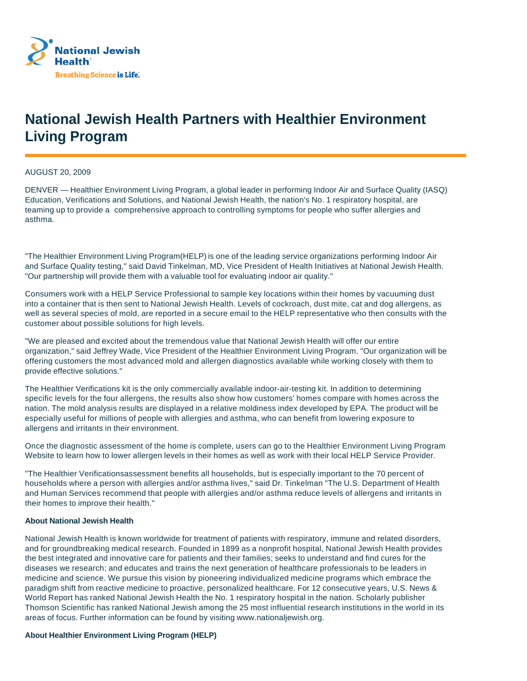

## **National Jewish Health Partners with Healthier Environment Living Program**

AUGUST 20, 2009

DENVER — Healthier Environment Living Program, a global leader in performing Indoor Air and Surface Quality (IASQ) Education, Verifications and Solutions, and National Jewish Health, the nation's No. 1 respiratory hospital, are teaming up to provide a comprehensive approach to controlling symptoms for people who suffer allergies and asthma.

"The Healthier Environment Living Program(HELP) is one of the leading service organizations performing Indoor Air and Surface Quality testing," said David Tinkelman, MD, Vice President of Health Initiatives at National Jewish Health. "Our partnership will provide them with a valuable tool for evaluating indoor air quality."

Consumers work with a HELP Service Professional to sample key locations within their homes by vacuuming dust into a container that is then sent to National Jewish Health. Levels of cockroach, dust mite, cat and dog allergens, as well as several species of mold, are reported in a secure email to the HELP representative who then consults with the customer about possible solutions for high levels.

"We are pleased and excited about the tremendous value that National Jewish Health will offer our entire organization," said Jeffrey Wade, Vice President of the Healthier Environment Living Program. "Our organization will be offering customers the most advanced mold and allergen diagnostics available while working closely with them to provide effective solutions."

The Healthier Verifications kit is the only commercially available indoor-air-testing kit. In addition to determining specific levels for the four allergens, the results also show how customers' homes compare with homes across the nation. The mold analysis results are displayed in a relative moldiness index developed by EPA. The product will be especially useful for millions of people with allergies and asthma, who can benefit from lowering exposure to allergens and irritants in their environment.

Once the diagnostic assessment of the home is complete, users can go to the Healthier Environment Living Program Website to learn how to lower allergen levels in their homes as well as work with their local HELP Service Provider.

"The Healthier Verificationsassessment benefits all households, but is especially important to the 70 percent of households where a person with allergies and/or asthma lives," said Dr. Tinkelman "The U.S. Department of Health and Human Services recommend that people with allergies and/or asthma reduce levels of allergens and irritants in their homes to improve their health."

## **About National Jewish Health**

National Jewish Health is known worldwide for treatment of patients with respiratory, immune and related disorders, and for groundbreaking medical research. Founded in 1899 as a nonprofit hospital, National Jewish Health provides the best integrated and innovative care for patients and their families; seeks to understand and find cures for the diseases we research; and educates and trains the next generation of healthcare professionals to be leaders in medicine and science. We pursue this vision by pioneering individualized medicine programs which embrace the paradigm shift from reactive medicine to proactive, personalized healthcare. For 12 consecutive years, U.S. News & World Report has ranked National Jewish Health the No. 1 respiratory hospital in the nation. Scholarly publisher Thomson Scientific has ranked National Jewish among the 25 most influential research institutions in the world in its areas of focus. Further information can be found by visiting www.nationaljewish.org.

## **About Healthier Environment Living Program (HELP)**